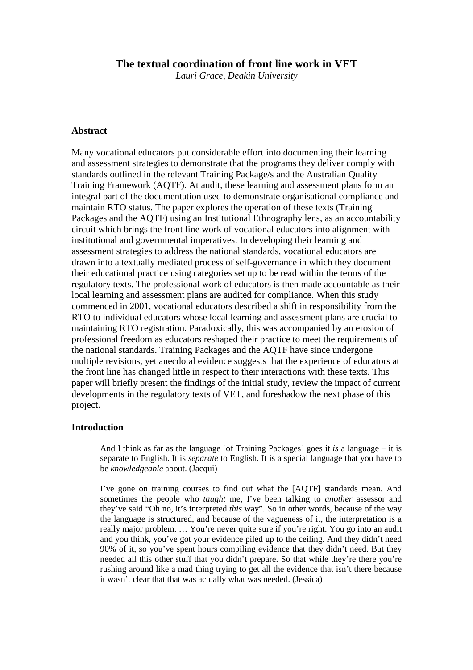# **The textual coordination of front line work in VET**

*Lauri Grace, Deakin University* 

#### **Abstract**

Many vocational educators put considerable effort into documenting their learning and assessment strategies to demonstrate that the programs they deliver comply with standards outlined in the relevant Training Package/s and the Australian Quality Training Framework (AQTF). At audit, these learning and assessment plans form an integral part of the documentation used to demonstrate organisational compliance and maintain RTO status. The paper explores the operation of these texts (Training Packages and the AQTF) using an Institutional Ethnography lens, as an accountability circuit which brings the front line work of vocational educators into alignment with institutional and governmental imperatives. In developing their learning and assessment strategies to address the national standards, vocational educators are drawn into a textually mediated process of self-governance in which they document their educational practice using categories set up to be read within the terms of the regulatory texts. The professional work of educators is then made accountable as their local learning and assessment plans are audited for compliance. When this study commenced in 2001, vocational educators described a shift in responsibility from the RTO to individual educators whose local learning and assessment plans are crucial to maintaining RTO registration. Paradoxically, this was accompanied by an erosion of professional freedom as educators reshaped their practice to meet the requirements of the national standards. Training Packages and the AQTF have since undergone multiple revisions, yet anecdotal evidence suggests that the experience of educators at the front line has changed little in respect to their interactions with these texts. This paper will briefly present the findings of the initial study, review the impact of current developments in the regulatory texts of VET, and foreshadow the next phase of this project.

#### **Introduction**

And I think as far as the language [of Training Packages] goes it *is* a language – it is separate to English. It is *separate* to English. It is a special language that you have to be *knowledgeable* about. (Jacqui)

I've gone on training courses to find out what the [AQTF] standards mean. And sometimes the people who *taught* me, I've been talking to *another* assessor and they've said "Oh no, it's interpreted *this* way". So in other words, because of the way the language is structured, and because of the vagueness of it, the interpretation is a really major problem. … You're never quite sure if you're right. You go into an audit and you think, you've got your evidence piled up to the ceiling. And they didn't need 90% of it, so you've spent hours compiling evidence that they didn't need. But they needed all this other stuff that you didn't prepare. So that while they're there you're rushing around like a mad thing trying to get all the evidence that isn't there because it wasn't clear that that was actually what was needed. (Jessica)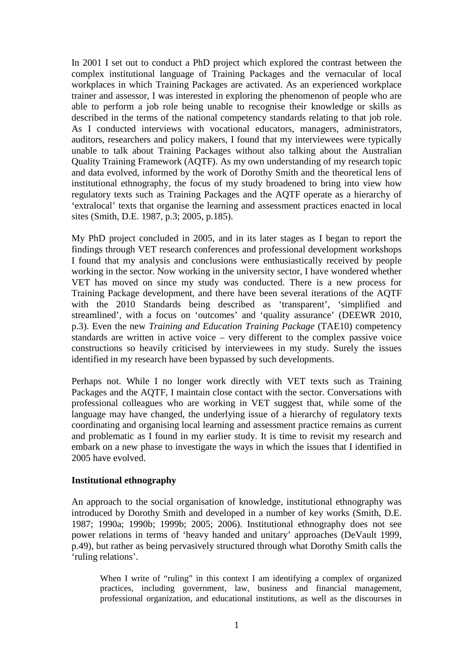In 2001 I set out to conduct a PhD project which explored the contrast between the complex institutional language of Training Packages and the vernacular of local workplaces in which Training Packages are activated. As an experienced workplace trainer and assessor, I was interested in exploring the phenomenon of people who are able to perform a job role being unable to recognise their knowledge or skills as described in the terms of the national competency standards relating to that job role. As I conducted interviews with vocational educators, managers, administrators, auditors, researchers and policy makers, I found that my interviewees were typically unable to talk about Training Packages without also talking about the Australian Quality Training Framework (AQTF). As my own understanding of my research topic and data evolved, informed by the work of Dorothy Smith and the theoretical lens of institutional ethnography, the focus of my study broadened to bring into view how regulatory texts such as Training Packages and the AQTF operate as a hierarchy of 'extralocal' texts that organise the learning and assessment practices enacted in local sites (Smith, D.E. 1987, p.3; 2005, p.185).

My PhD project concluded in 2005, and in its later stages as I began to report the findings through VET research conferences and professional development workshops I found that my analysis and conclusions were enthusiastically received by people working in the sector. Now working in the university sector, I have wondered whether VET has moved on since my study was conducted. There is a new process for Training Package development, and there have been several iterations of the AQTF with the 2010 Standards being described as 'transparent', 'simplified and streamlined', with a focus on 'outcomes' and 'quality assurance' (DEEWR 2010, p.3). Even the new *Training and Education Training Package* (TAE10) competency standards are written in active voice – very different to the complex passive voice constructions so heavily criticised by interviewees in my study. Surely the issues identified in my research have been bypassed by such developments.

Perhaps not. While I no longer work directly with VET texts such as Training Packages and the AQTF, I maintain close contact with the sector. Conversations with professional colleagues who are working in VET suggest that, while some of the language may have changed, the underlying issue of a hierarchy of regulatory texts coordinating and organising local learning and assessment practice remains as current and problematic as I found in my earlier study. It is time to revisit my research and embark on a new phase to investigate the ways in which the issues that I identified in 2005 have evolved.

# **Institutional ethnography**

An approach to the social organisation of knowledge, institutional ethnography was introduced by Dorothy Smith and developed in a number of key works (Smith, D.E. 1987; 1990a; 1990b; 1999b; 2005; 2006). Institutional ethnography does not see power relations in terms of 'heavy handed and unitary' approaches (DeVault 1999, p.49), but rather as being pervasively structured through what Dorothy Smith calls the 'ruling relations'.

When I write of "ruling" in this context I am identifying a complex of organized practices, including government, law, business and financial management, professional organization, and educational institutions, as well as the discourses in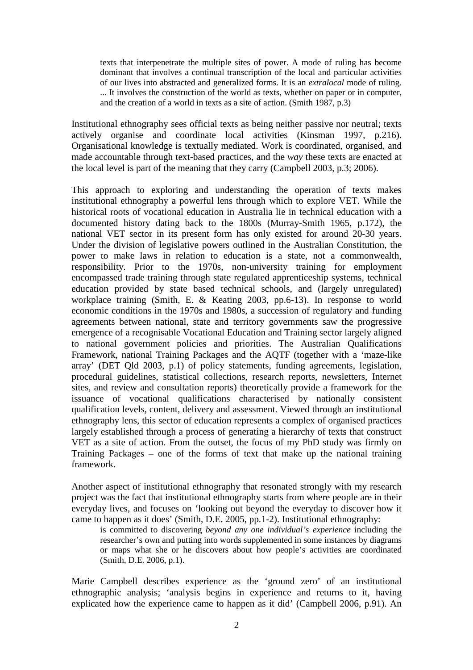texts that interpenetrate the multiple sites of power. A mode of ruling has become dominant that involves a continual transcription of the local and particular activities of our lives into abstracted and generalized forms. It is an *extralocal* mode of ruling. ... It involves the construction of the world as texts, whether on paper or in computer, and the creation of a world in texts as a site of action. (Smith 1987, p.3)

Institutional ethnography sees official texts as being neither passive nor neutral; texts actively organise and coordinate local activities (Kinsman 1997, p.216). Organisational knowledge is textually mediated. Work is coordinated, organised, and made accountable through text-based practices, and the *way* these texts are enacted at the local level is part of the meaning that they carry (Campbell 2003, p.3; 2006).

This approach to exploring and understanding the operation of texts makes institutional ethnography a powerful lens through which to explore VET. While the historical roots of vocational education in Australia lie in technical education with a documented history dating back to the 1800s (Murray-Smith 1965, p.172), the national VET sector in its present form has only existed for around 20-30 years. Under the division of legislative powers outlined in the Australian Constitution, the power to make laws in relation to education is a state, not a commonwealth, responsibility. Prior to the 1970s, non-university training for employment encompassed trade training through state regulated apprenticeship systems, technical education provided by state based technical schools, and (largely unregulated) workplace training (Smith, E. & Keating 2003, pp.6-13). In response to world economic conditions in the 1970s and 1980s, a succession of regulatory and funding agreements between national, state and territory governments saw the progressive emergence of a recognisable Vocational Education and Training sector largely aligned to national government policies and priorities. The Australian Qualifications Framework, national Training Packages and the AQTF (together with a 'maze-like array' (DET Qld 2003, p.1) of policy statements, funding agreements, legislation, procedural guidelines, statistical collections, research reports, newsletters, Internet sites, and review and consultation reports) theoretically provide a framework for the issuance of vocational qualifications characterised by nationally consistent qualification levels, content, delivery and assessment. Viewed through an institutional ethnography lens, this sector of education represents a complex of organised practices largely established through a process of generating a hierarchy of texts that construct VET as a site of action. From the outset, the focus of my PhD study was firmly on Training Packages – one of the forms of text that make up the national training framework.

Another aspect of institutional ethnography that resonated strongly with my research project was the fact that institutional ethnography starts from where people are in their everyday lives, and focuses on 'looking out beyond the everyday to discover how it came to happen as it does' (Smith, D.E. 2005, pp.1-2). Institutional ethnography:

is committed to discovering *beyond any one individual's experience* including the researcher's own and putting into words supplemented in some instances by diagrams or maps what she or he discovers about how people's activities are coordinated (Smith, D.E. 2006, p.1).

Marie Campbell describes experience as the 'ground zero' of an institutional ethnographic analysis; 'analysis begins in experience and returns to it, having explicated how the experience came to happen as it did' (Campbell 2006, p.91). An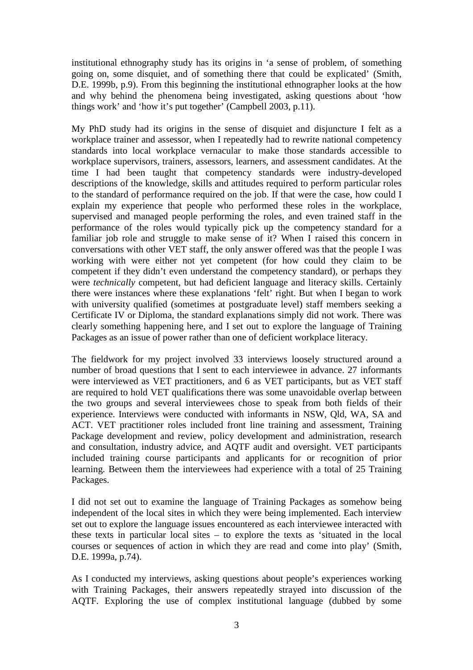institutional ethnography study has its origins in 'a sense of problem, of something going on, some disquiet, and of something there that could be explicated' (Smith, D.E. 1999b, p.9). From this beginning the institutional ethnographer looks at the how and why behind the phenomena being investigated, asking questions about 'how things work' and 'how it's put together' (Campbell 2003, p.11).

My PhD study had its origins in the sense of disquiet and disjuncture I felt as a workplace trainer and assessor, when I repeatedly had to rewrite national competency standards into local workplace vernacular to make those standards accessible to workplace supervisors, trainers, assessors, learners, and assessment candidates. At the time I had been taught that competency standards were industry-developed descriptions of the knowledge, skills and attitudes required to perform particular roles to the standard of performance required on the job. If that were the case, how could I explain my experience that people who performed these roles in the workplace, supervised and managed people performing the roles, and even trained staff in the performance of the roles would typically pick up the competency standard for a familiar job role and struggle to make sense of it? When I raised this concern in conversations with other VET staff, the only answer offered was that the people I was working with were either not yet competent (for how could they claim to be competent if they didn't even understand the competency standard), or perhaps they were *technically* competent, but had deficient language and literacy skills. Certainly there were instances where these explanations 'felt' right. But when I began to work with university qualified (sometimes at postgraduate level) staff members seeking a Certificate IV or Diploma, the standard explanations simply did not work. There was clearly something happening here, and I set out to explore the language of Training Packages as an issue of power rather than one of deficient workplace literacy.

The fieldwork for my project involved 33 interviews loosely structured around a number of broad questions that I sent to each interviewee in advance. 27 informants were interviewed as VET practitioners, and 6 as VET participants, but as VET staff are required to hold VET qualifications there was some unavoidable overlap between the two groups and several interviewees chose to speak from both fields of their experience. Interviews were conducted with informants in NSW, Qld, WA, SA and ACT. VET practitioner roles included front line training and assessment, Training Package development and review, policy development and administration, research and consultation, industry advice, and AQTF audit and oversight. VET participants included training course participants and applicants for or recognition of prior learning. Between them the interviewees had experience with a total of 25 Training Packages.

I did not set out to examine the language of Training Packages as somehow being independent of the local sites in which they were being implemented. Each interview set out to explore the language issues encountered as each interviewee interacted with these texts in particular local sites – to explore the texts as 'situated in the local courses or sequences of action in which they are read and come into play' (Smith, D.E. 1999a, p.74).

As I conducted my interviews, asking questions about people's experiences working with Training Packages, their answers repeatedly strayed into discussion of the AQTF. Exploring the use of complex institutional language (dubbed by some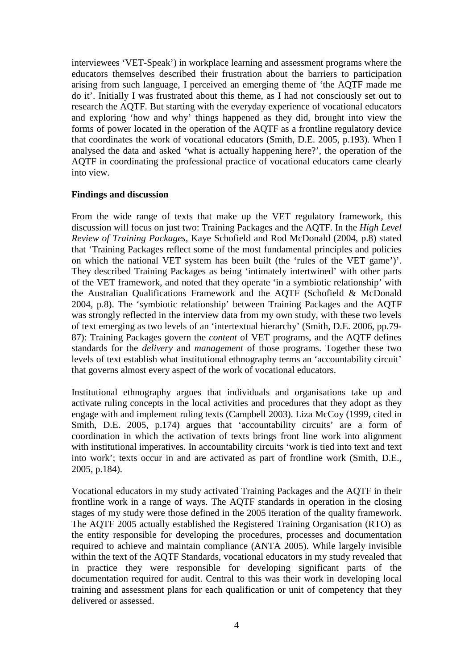interviewees 'VET-Speak') in workplace learning and assessment programs where the educators themselves described their frustration about the barriers to participation arising from such language, I perceived an emerging theme of 'the AQTF made me do it'. Initially I was frustrated about this theme, as I had not consciously set out to research the AQTF. But starting with the everyday experience of vocational educators and exploring 'how and why' things happened as they did, brought into view the forms of power located in the operation of the AQTF as a frontline regulatory device that coordinates the work of vocational educators (Smith, D.E. 2005, p.193). When I analysed the data and asked 'what is actually happening here?', the operation of the AQTF in coordinating the professional practice of vocational educators came clearly into view.

# **Findings and discussion**

From the wide range of texts that make up the VET regulatory framework, this discussion will focus on just two: Training Packages and the AQTF. In the *High Level Review of Training Packages*, Kaye Schofield and Rod McDonald (2004, p.8) stated that 'Training Packages reflect some of the most fundamental principles and policies on which the national VET system has been built (the 'rules of the VET game')'. They described Training Packages as being 'intimately intertwined' with other parts of the VET framework, and noted that they operate 'in a symbiotic relationship' with the Australian Qualifications Framework and the AQTF (Schofield & McDonald 2004, p.8). The 'symbiotic relationship' between Training Packages and the AQTF was strongly reflected in the interview data from my own study, with these two levels of text emerging as two levels of an 'intertextual hierarchy' (Smith, D.E. 2006, pp.79- 87): Training Packages govern the *content* of VET programs, and the AQTF defines standards for the *delivery* and *management* of those programs. Together these two levels of text establish what institutional ethnography terms an 'accountability circuit' that governs almost every aspect of the work of vocational educators.

Institutional ethnography argues that individuals and organisations take up and activate ruling concepts in the local activities and procedures that they adopt as they engage with and implement ruling texts (Campbell 2003). Liza McCoy (1999, cited in Smith, D.E. 2005, p.174) argues that 'accountability circuits' are a form of coordination in which the activation of texts brings front line work into alignment with institutional imperatives. In accountability circuits 'work is tied into text and text into work'; texts occur in and are activated as part of frontline work (Smith, D.E., 2005, p.184).

Vocational educators in my study activated Training Packages and the AQTF in their frontline work in a range of ways. The AQTF standards in operation in the closing stages of my study were those defined in the 2005 iteration of the quality framework. The AQTF 2005 actually established the Registered Training Organisation (RTO) as the entity responsible for developing the procedures, processes and documentation required to achieve and maintain compliance (ANTA 2005). While largely invisible within the text of the AQTF Standards, vocational educators in my study revealed that in practice they were responsible for developing significant parts of the documentation required for audit. Central to this was their work in developing local training and assessment plans for each qualification or unit of competency that they delivered or assessed.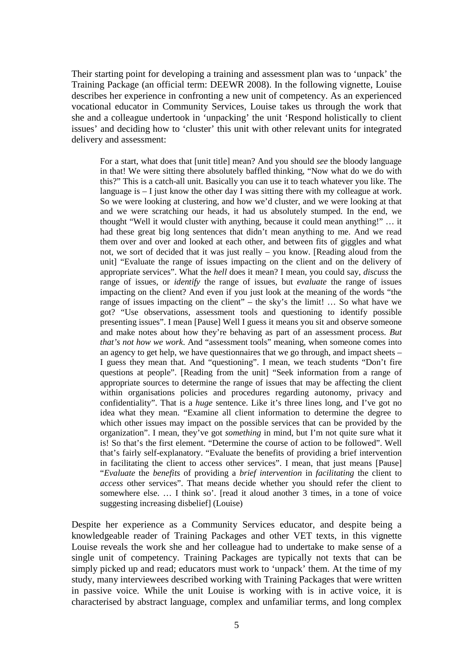Their starting point for developing a training and assessment plan was to 'unpack' the Training Package (an official term: DEEWR 2008). In the following vignette, Louise describes her experience in confronting a new unit of competency. As an experienced vocational educator in Community Services, Louise takes us through the work that she and a colleague undertook in 'unpacking' the unit 'Respond holistically to client issues' and deciding how to 'cluster' this unit with other relevant units for integrated delivery and assessment:

For a start, what does that [unit title] mean? And you should *see* the bloody language in that! We were sitting there absolutely baffled thinking, "Now what do we do with this?" This is a catch-all unit. Basically you can use it to teach whatever you like. The language is – I just know the other day I was sitting there with my colleague at work. So we were looking at clustering, and how we'd cluster, and we were looking at that and we were scratching our heads, it had us absolutely stumped. In the end, we thought "Well it would cluster with anything, because it could mean anything!" … it had these great big long sentences that didn't mean anything to me. And we read them over and over and looked at each other, and between fits of giggles and what not, we sort of decided that it was just really – you know. [Reading aloud from the unit] "Evaluate the range of issues impacting on the client and on the delivery of appropriate services". What the *hell* does it mean? I mean, you could say, *discuss* the range of issues, or *identify* the range of issues, but *evaluate* the range of issues impacting on the client? And even if you just look at the meaning of the words "the range of issues impacting on the client" – the sky's the limit! … So what have we got? "Use observations, assessment tools and questioning to identify possible presenting issues". I mean [Pause] Well I guess it means you sit and observe someone and make notes about how they're behaving as part of an assessment process. *But that's not how we work*. And "assessment tools" meaning, when someone comes into an agency to get help, we have questionnaires that we go through, and impact sheets – I guess they mean that. And "questioning". I mean, we teach students "Don't fire questions at people". [Reading from the unit] "Seek information from a range of appropriate sources to determine the range of issues that may be affecting the client within organisations policies and procedures regarding autonomy, privacy and confidentiality". That is a *huge* sentence. Like it's three lines long, and I've got no idea what they mean. "Examine all client information to determine the degree to which other issues may impact on the possible services that can be provided by the organization". I mean, they've got *something* in mind, but I'm not quite sure what it is! So that's the first element. "Determine the course of action to be followed". Well that's fairly self-explanatory. "Evaluate the benefits of providing a brief intervention in facilitating the client to access other services". I mean, that just means [Pause] "*Evaluate* the *benefits* of providing a *brief intervention* in *facilitating* the client to *access* other services". That means decide whether you should refer the client to somewhere else. … I think so'. [read it aloud another 3 times, in a tone of voice suggesting increasing disbelief] (Louise)

Despite her experience as a Community Services educator, and despite being a knowledgeable reader of Training Packages and other VET texts, in this vignette Louise reveals the work she and her colleague had to undertake to make sense of a single unit of competency. Training Packages are typically not texts that can be simply picked up and read; educators must work to 'unpack' them. At the time of my study, many interviewees described working with Training Packages that were written in passive voice. While the unit Louise is working with is in active voice, it is characterised by abstract language, complex and unfamiliar terms, and long complex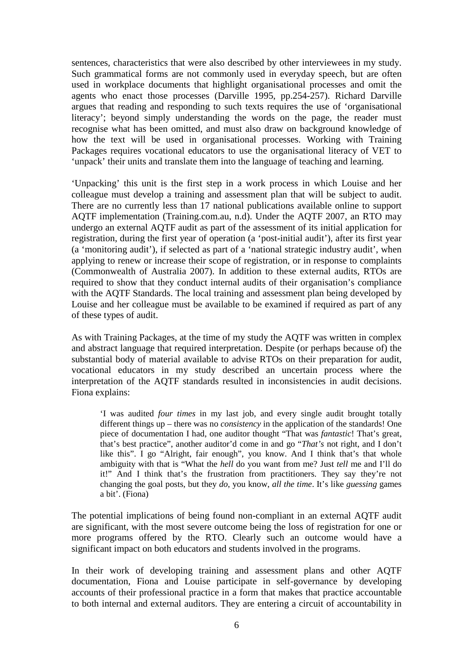sentences, characteristics that were also described by other interviewees in my study. Such grammatical forms are not commonly used in everyday speech, but are often used in workplace documents that highlight organisational processes and omit the agents who enact those processes (Darville 1995, pp.254-257). Richard Darville argues that reading and responding to such texts requires the use of 'organisational literacy'; beyond simply understanding the words on the page, the reader must recognise what has been omitted, and must also draw on background knowledge of how the text will be used in organisational processes. Working with Training Packages requires vocational educators to use the organisational literacy of VET to 'unpack' their units and translate them into the language of teaching and learning.

'Unpacking' this unit is the first step in a work process in which Louise and her colleague must develop a training and assessment plan that will be subject to audit. There are no currently less than 17 national publications available online to support AQTF implementation (Training.com.au, n.d). Under the AQTF 2007, an RTO may undergo an external AQTF audit as part of the assessment of its initial application for registration, during the first year of operation (a 'post-initial audit'), after its first year (a 'monitoring audit'), if selected as part of a 'national strategic industry audit', when applying to renew or increase their scope of registration, or in response to complaints (Commonwealth of Australia 2007). In addition to these external audits, RTOs are required to show that they conduct internal audits of their organisation's compliance with the AQTF Standards. The local training and assessment plan being developed by Louise and her colleague must be available to be examined if required as part of any of these types of audit.

As with Training Packages, at the time of my study the AQTF was written in complex and abstract language that required interpretation. Despite (or perhaps because of) the substantial body of material available to advise RTOs on their preparation for audit, vocational educators in my study described an uncertain process where the interpretation of the AQTF standards resulted in inconsistencies in audit decisions. Fiona explains:

'I was audited *four times* in my last job, and every single audit brought totally different things up – there was no *consistency* in the application of the standards! One piece of documentation I had, one auditor thought "That was *fantastic*! That's great, that's best practice", another auditor'd come in and go "*That's* not right, and I don't like this". I go "Alright, fair enough", you know. And I think that's that whole ambiguity with that is "What the *hell* do you want from me? Just *tell* me and I'll do it!" And I think that's the frustration from practitioners. They say they're not changing the goal posts, but they *do*, you know, *all the time*. It's like *guessing* games a bit'. (Fiona)

The potential implications of being found non-compliant in an external AQTF audit are significant, with the most severe outcome being the loss of registration for one or more programs offered by the RTO. Clearly such an outcome would have a significant impact on both educators and students involved in the programs.

In their work of developing training and assessment plans and other AQTF documentation, Fiona and Louise participate in self-governance by developing accounts of their professional practice in a form that makes that practice accountable to both internal and external auditors. They are entering a circuit of accountability in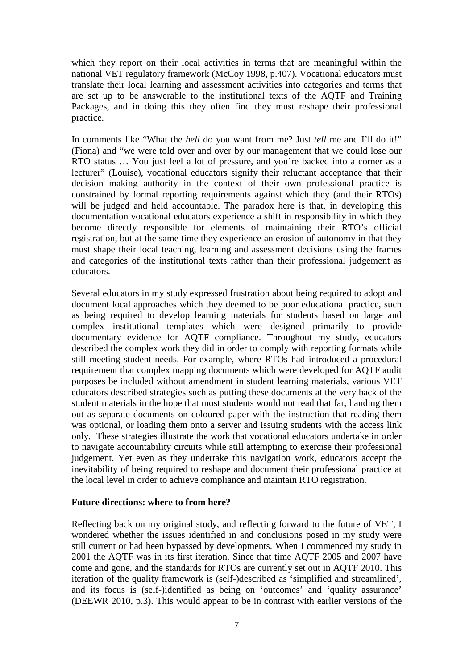which they report on their local activities in terms that are meaningful within the national VET regulatory framework (McCoy 1998, p.407). Vocational educators must translate their local learning and assessment activities into categories and terms that are set up to be answerable to the institutional texts of the AQTF and Training Packages, and in doing this they often find they must reshape their professional practice.

In comments like "What the *hell* do you want from me? Just *tell* me and I'll do it!" (Fiona) and "we were told over and over by our management that we could lose our RTO status … You just feel a lot of pressure, and you're backed into a corner as a lecturer" (Louise), vocational educators signify their reluctant acceptance that their decision making authority in the context of their own professional practice is constrained by formal reporting requirements against which they (and their RTOs) will be judged and held accountable. The paradox here is that, in developing this documentation vocational educators experience a shift in responsibility in which they become directly responsible for elements of maintaining their RTO's official registration, but at the same time they experience an erosion of autonomy in that they must shape their local teaching, learning and assessment decisions using the frames and categories of the institutional texts rather than their professional judgement as educators.

Several educators in my study expressed frustration about being required to adopt and document local approaches which they deemed to be poor educational practice, such as being required to develop learning materials for students based on large and complex institutional templates which were designed primarily to provide documentary evidence for AQTF compliance. Throughout my study, educators described the complex work they did in order to comply with reporting formats while still meeting student needs. For example, where RTOs had introduced a procedural requirement that complex mapping documents which were developed for AQTF audit purposes be included without amendment in student learning materials, various VET educators described strategies such as putting these documents at the very back of the student materials in the hope that most students would not read that far, handing them out as separate documents on coloured paper with the instruction that reading them was optional, or loading them onto a server and issuing students with the access link only. These strategies illustrate the work that vocational educators undertake in order to navigate accountability circuits while still attempting to exercise their professional judgement. Yet even as they undertake this navigation work, educators accept the inevitability of being required to reshape and document their professional practice at the local level in order to achieve compliance and maintain RTO registration.

#### **Future directions: where to from here?**

Reflecting back on my original study, and reflecting forward to the future of VET, I wondered whether the issues identified in and conclusions posed in my study were still current or had been bypassed by developments. When I commenced my study in 2001 the AQTF was in its first iteration. Since that time AQTF 2005 and 2007 have come and gone, and the standards for RTOs are currently set out in AQTF 2010. This iteration of the quality framework is (self-)described as 'simplified and streamlined', and its focus is (self-)identified as being on 'outcomes' and 'quality assurance' (DEEWR 2010, p.3). This would appear to be in contrast with earlier versions of the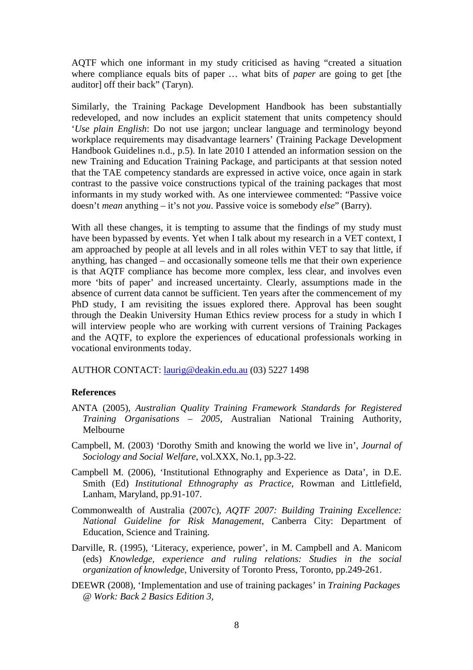AQTF which one informant in my study criticised as having "created a situation where compliance equals bits of paper … what bits of *paper* are going to get [the auditor] off their back" (Taryn).

Similarly, the Training Package Development Handbook has been substantially redeveloped, and now includes an explicit statement that units competency should '*Use plain English*: Do not use jargon; unclear language and terminology beyond workplace requirements may disadvantage learners' (Training Package Development Handbook Guidelines n.d., p.5). In late 2010 I attended an information session on the new Training and Education Training Package, and participants at that session noted that the TAE competency standards are expressed in active voice, once again in stark contrast to the passive voice constructions typical of the training packages that most informants in my study worked with. As one interviewee commented: "Passive voice doesn't *mean* anything – it's not *you*. Passive voice is somebody *else*" (Barry).

With all these changes, it is tempting to assume that the findings of my study must have been bypassed by events. Yet when I talk about my research in a VET context, I am approached by people at all levels and in all roles within VET to say that little, if anything, has changed – and occasionally someone tells me that their own experience is that AQTF compliance has become more complex, less clear, and involves even more 'bits of paper' and increased uncertainty. Clearly, assumptions made in the absence of current data cannot be sufficient. Ten years after the commencement of my PhD study, I am revisiting the issues explored there. Approval has been sought through the Deakin University Human Ethics review process for a study in which I will interview people who are working with current versions of Training Packages and the AQTF, to explore the experiences of educational professionals working in vocational environments today.

AUTHOR CONTACT: laurig@deakin.edu.au (03) 5227 1498

# **References**

- ANTA (2005), *Australian Quality Training Framework Standards for Registered Training Organisations – 2005*, Australian National Training Authority, Melbourne
- Campbell, M. (2003) 'Dorothy Smith and knowing the world we live in', *Journal of Sociology and Social Welfare*, vol.XXX, No.1, pp.3-22.
- Campbell M. (2006), 'Institutional Ethnography and Experience as Data', in D.E. Smith (Ed) *Institutional Ethnography as Practice*, Rowman and Littlefield, Lanham, Maryland, pp.91-107.
- Commonwealth of Australia (2007c), *AQTF 2007: Building Training Excellence: National Guideline for Risk Management*, Canberra City: Department of Education, Science and Training.
- Darville, R. (1995), 'Literacy, experience, power', in M. Campbell and A. Manicom (eds) *Knowledge, experience and ruling relations: Studies in the social organization of knowledge*, University of Toronto Press, Toronto, pp.249-261.
- DEEWR (2008), 'Implementation and use of training packages' in *Training Packages @ Work: Back 2 Basics Edition 3,*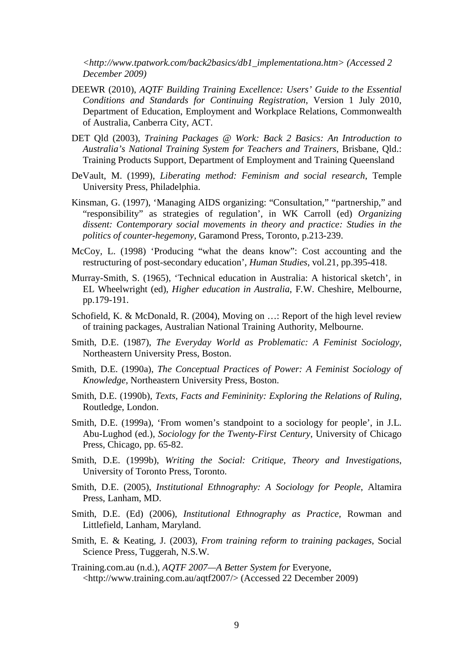*<http://www.tpatwork.com/back2basics/db1\_implementationa.htm> (Accessed 2 December 2009)*

- DEEWR (2010), *AQTF Building Training Excellence: Users' Guide to the Essential Conditions and Standards for Continuing Registration*, Version 1 July 2010, Department of Education, Employment and Workplace Relations, Commonwealth of Australia, Canberra City, ACT.
- DET Qld (2003), *Training Packages @ Work: Back 2 Basics: An Introduction to Australia's National Training System for Teachers and Trainers*, Brisbane, Qld.: Training Products Support, Department of Employment and Training Queensland
- DeVault, M. (1999), *Liberating method: Feminism and social research*, Temple University Press, Philadelphia.
- Kinsman, G. (1997), 'Managing AIDS organizing: "Consultation," "partnership," and "responsibility" as strategies of regulation', in WK Carroll (ed) *Organizing dissent: Contemporary social movements in theory and practice: Studies in the politics of counter-hegemony*, Garamond Press, Toronto, p.213-239.
- McCoy, L. (1998) 'Producing "what the deans know": Cost accounting and the restructuring of post-secondary education', *Human Studies*, vol.21, pp.395-418.
- Murray-Smith, S. (1965), 'Technical education in Australia: A historical sketch', in EL Wheelwright (ed), *Higher education in Australia*, F.W. Cheshire, Melbourne, pp.179-191.
- Schofield, K. & McDonald, R. (2004), Moving on …: Report of the high level review of training packages, Australian National Training Authority, Melbourne.
- Smith, D.E. (1987), *The Everyday World as Problematic: A Feminist Sociology*, Northeastern University Press, Boston.
- Smith, D.E. (1990a), *The Conceptual Practices of Power: A Feminist Sociology of Knowledge*, Northeastern University Press, Boston.
- Smith, D.E. (1990b), *Texts, Facts and Femininity: Exploring the Relations of Ruling*, Routledge, London.
- Smith, D.E. (1999a), 'From women's standpoint to a sociology for people', in J.L. Abu-Lughod (ed.), *Sociology for the Twenty-First Century*, University of Chicago Press, Chicago, pp. 65-82.
- Smith, D.E. (1999b), *Writing the Social: Critique, Theory and Investigations*, University of Toronto Press, Toronto.
- Smith, D.E. (2005), *Institutional Ethnography: A Sociology for People*, Altamira Press, Lanham, MD.
- Smith, D.E. (Ed) (2006), *Institutional Ethnography as Practice*, Rowman and Littlefield, Lanham, Maryland.
- Smith, E. & Keating, J. (2003), *From training reform to training packages*, Social Science Press, Tuggerah, N.S.W.
- Training.com.au (n.d.), *AQTF 2007—A Better System for* Everyone, <http://www.training.com.au/aqtf2007/> (Accessed 22 December 2009)